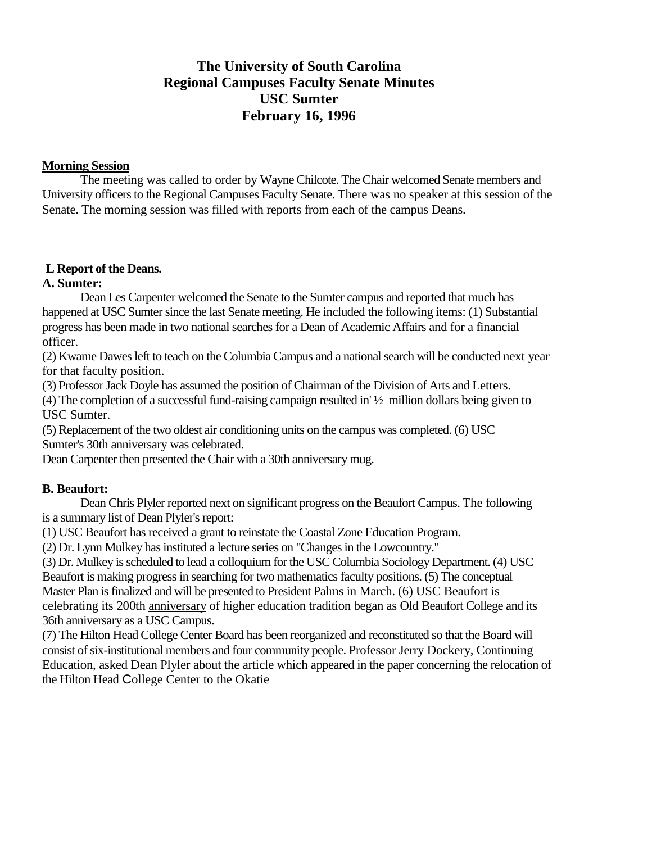# **The University of South Carolina Regional Campuses Faculty Senate Minutes USC Sumter February 16, 1996**

### **Morning Session**

The meeting was called to order by Wayne Chilcote. The Chair welcomed Senate members and University officers to the Regional Campuses Faculty Senate. There was no speaker at this session of the Senate. The morning session was filled with reports from each of the campus Deans.

### **L Report of the Deans.**

# **A. Sumter:**

Dean Les Carpenter welcomed the Senate to the Sumter campus and reported that much has happened at USC Sumter since the last Senate meeting. He included the following items: (1) Substantial progress has been made in two national searches for a Dean of Academic Affairs and for a financial officer.

(2) Kwame Dawes left to teach on the Columbia Campus and a national search will be conducted next year for that faculty position.

(3) Professor Jack Doyle has assumed the position of Chairman of the Division of Arts and Letters.

(4) The completion of a successful fund-raising campaign resulted in' ½ million dollars being given to USC Sumter.

(5) Replacement of the two oldest air conditioning units on the campus was completed. (6) USC Sumter's 30th anniversary was celebrated.

Dean Carpenter then presented the Chair with a 30th anniversary mug.

### **B. Beaufort:**

Dean Chris Plyler reported next on significant progress on the Beaufort Campus. The following is a summary list of Dean Plyler's report:

(1) USC Beaufort has received a grant to reinstate the Coastal Zone Education Program.

(2) Dr. Lynn Mulkey has instituted a lecture series on "Changes in the Lowcountry."

(3) Dr. Mulkey is scheduled to lead a colloquium for the USC Columbia Sociology Department. (4) USC Beaufort is making progress in searching for two mathematics faculty positions. (5) The conceptual Master Plan is finalized and will be presented to President Palms in March. (6) USC Beaufort is celebrating its 200th anniversary of higher education tradition began as Old Beaufort College and its 36th anniversary as a USC Campus.

(7) The Hilton Head College Center Board has been reorganized and reconstituted so that the Board will consist of six-institutional members and four community people. Professor Jerry Dockery, Continuing Education, asked Dean Plyler about the article which appeared in the paper concerning the relocation of the Hilton Head College Center to the Okatie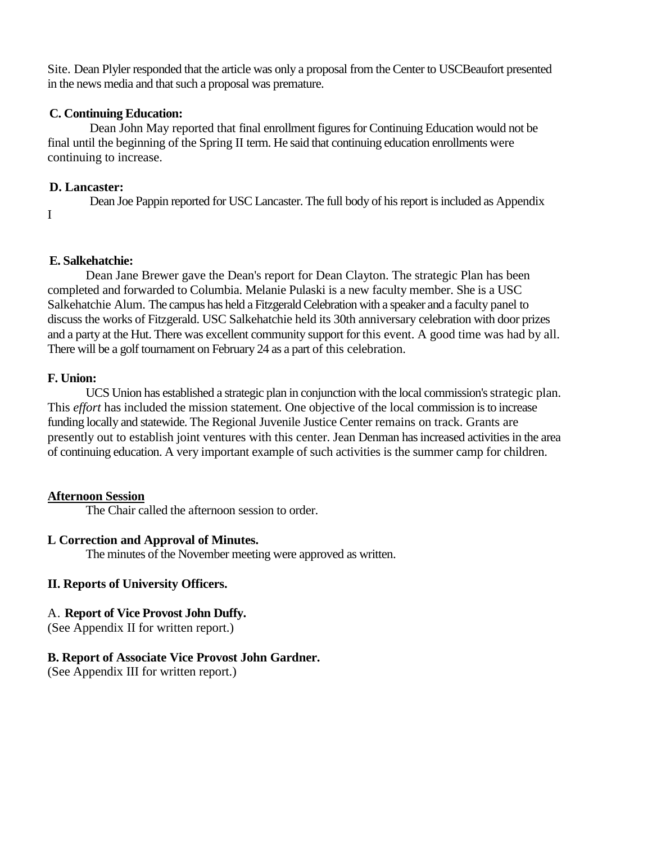Site. Dean Plyler responded that the article was only a proposal from the Center to USCBeaufort presented in the news media and that such a proposal was premature.

#### **C. Continuing Education:**

Dean John May reported that final enrollment figures for Continuing Education would not be final until the beginning of the Spring II term. He said that continuing education enrollments were continuing to increase.

### **D. Lancaster:**

Dean Joe Pappin reported for USC Lancaster. The full body of his report is included as Appendix I

### **E. Salkehatchie:**

Dean Jane Brewer gave the Dean's report for Dean Clayton. The strategic Plan has been completed and forwarded to Columbia. Melanie Pulaski is a new faculty member. She is a USC Salkehatchie Alum. The campus has held a Fitzgerald Celebration with a speaker and a faculty panel to discuss the works of Fitzgerald. USC Salkehatchie held its 30th anniversary celebration with door prizes and a party at the Hut. There was excellent community support for this event. A good time was had by all. There will be a golf tournament on February 24 as a part of this celebration.

### **F. Union:**

UCS Union has established a strategic plan in conjunction with the local commission's strategic plan. This *effort* has included the mission statement. One objective of the local commission is to increase funding locally and statewide. The Regional Juvenile Justice Center remains on track. Grants are presently out to establish joint ventures with this center. Jean Denman has increased activities in the area of continuing education. A very important example of such activities is the summer camp for children.

### **Afternoon Session**

The Chair called the afternoon session to order.

### **L Correction and Approval of Minutes.**

The minutes of the November meeting were approved as written.

### **II. Reports of University Officers.**

### A. **Report of Vice Provost John Duffy.**

(See Appendix II for written report.)

### **B. Report of Associate Vice Provost John Gardner.**

(See Appendix III for written report.)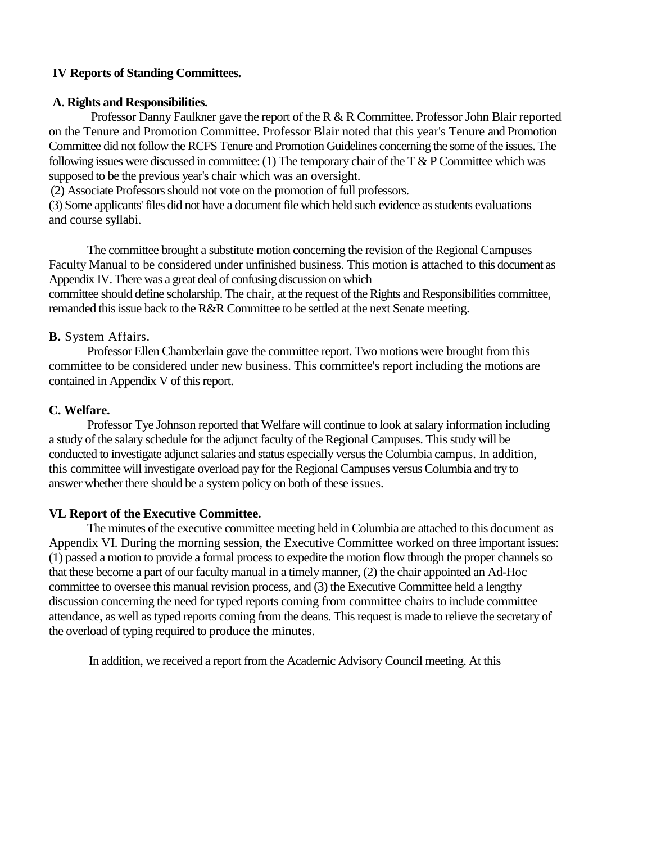### **IV Reports of Standing Committees.**

### **A. Rights and Responsibilities.**

Professor Danny Faulkner gave the report of the R & R Committee. Professor John Blair reported on the Tenure and Promotion Committee. Professor Blair noted that this year's Tenure and Promotion Committee did not follow the RCFS Tenure and Promotion Guidelines concerning the some of the issues. The following issues were discussed in committee: (1) The temporary chair of the T  $\&$  P Committee which was supposed to be the previous year's chair which was an oversight.

(2) Associate Professors should not vote on the promotion of full professors.

(3) Some applicants' files did not have a document file which held such evidence as students evaluations and course syllabi.

The committee brought a substitute motion concerning the revision of the Regional Campuses Faculty Manual to be considered under unfinished business. This motion is attached to this document as Appendix IV. There was a great deal of confusing discussion on which

committee should define scholarship. The chair, at the request of the Rights and Responsibilities committee, remanded this issue back to the R&R Committee to be settled at the next Senate meeting.

### **B.** System Affairs.

Professor Ellen Chamberlain gave the committee report. Two motions were brought from this committee to be considered under new business. This committee's report including the motions are contained in Appendix V of this report.

### **C. Welfare.**

Professor Tye Johnson reported that Welfare will continue to look at salary information including a study of the salary schedule for the adjunct faculty of the Regional Campuses. This study will be conducted to investigate adjunct salaries and status especially versus the Columbia campus. In addition, this committee will investigate overload pay for the Regional Campuses versus Columbia and try to answer whether there should be a system policy on both of these issues.

### **VL Report of the Executive Committee.**

The minutes of the executive committee meeting held in Columbia are attached to this document as Appendix VI. During the morning session, the Executive Committee worked on three important issues: (1) passed a motion to provide a formal process to expedite the motion flow through the proper channels so that these become a part of our faculty manual in a timely manner, (2) the chair appointed an Ad-Hoc committee to oversee this manual revision process, and (3) the Executive Committee held a lengthy discussion concerning the need for typed reports coming from committee chairs to include committee attendance, as well as typed reports coming from the deans. This request is made to relieve the secretary of the overload of typing required to produce the minutes.

In addition, we received a report from the Academic Advisory Council meeting. At this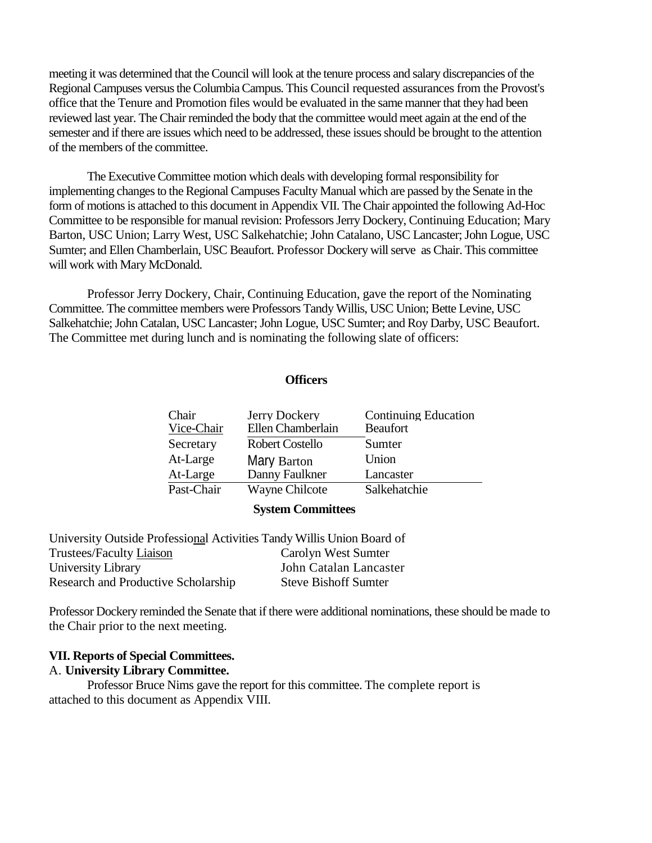meeting it was determined that the Council will look at the tenure process and salary discrepancies of the Regional Campuses versus the Columbia Campus. This Council requested assurances from the Provost's office that the Tenure and Promotion files would be evaluated in the same manner that they had been reviewed last year. The Chair reminded the body that the committee would meet again at the end of the semester and if there are issues which need to be addressed, these issues should be brought to the attention of the members of the committee.

The Executive Committee motion which deals with developing formal responsibility for implementing changes to the Regional Campuses Faculty Manual which are passed by the Senate in the form of motions is attached to this document in Appendix VII. The Chair appointed the following Ad-Hoc Committee to be responsible for manual revision: Professors Jerry Dockery, Continuing Education; Mary Barton, USC Union; Larry West, USC Salkehatchie; John Catalano, USC Lancaster; John Logue, USC Sumter; and Ellen Chamberlain, USC Beaufort. Professor Dockery will serve as Chair. This committee will work with Mary McDonald.

Professor Jerry Dockery, Chair, Continuing Education, gave the report of the Nominating Committee. The committee members were Professors Tandy Willis, USC Union; Bette Levine, USC Salkehatchie; John Catalan, USC Lancaster; John Logue, USC Sumter; and Roy Darby, USC Beaufort. The Committee met during lunch and is nominating the following slate of officers:

#### **Officers**

| Chair      | Jerry Dockery                                                                        | <b>Continuing Education</b> |
|------------|--------------------------------------------------------------------------------------|-----------------------------|
| Vice-Chair | Ellen Chamberlain                                                                    | <b>Beaufort</b>             |
| Secretary  | <b>Robert Costello</b>                                                               | Sumter                      |
| At-Large   | Mary Barton                                                                          | Union                       |
| At-Large   | Danny Faulkner                                                                       | Lancaster                   |
| Past-Chair | <b>Wayne Chilcote</b>                                                                | Salkehatchie                |
|            | $\mathcal{C}_{\text{max}}$ . $\mathcal{C}_{\text{max}}$ . $\mathcal{C}_{\text{max}}$ |                             |

**System Committees**

| University Outside Professional Activities Tandy Willis Union Board of |                             |
|------------------------------------------------------------------------|-----------------------------|
| Trustees/Faculty Liaison                                               | Carolyn West Sumter         |
| University Library                                                     | John Catalan Lancaster      |
| Research and Productive Scholarship                                    | <b>Steve Bishoff Sumter</b> |

Professor Dockery reminded the Senate that if there were additional nominations, these should be made to the Chair prior to the next meeting.

# **VII. Reports of Special Committees.**

#### A. **University Library Committee.**

Professor Bruce Nims gave the report for this committee. The complete report is attached to this document as Appendix VIII.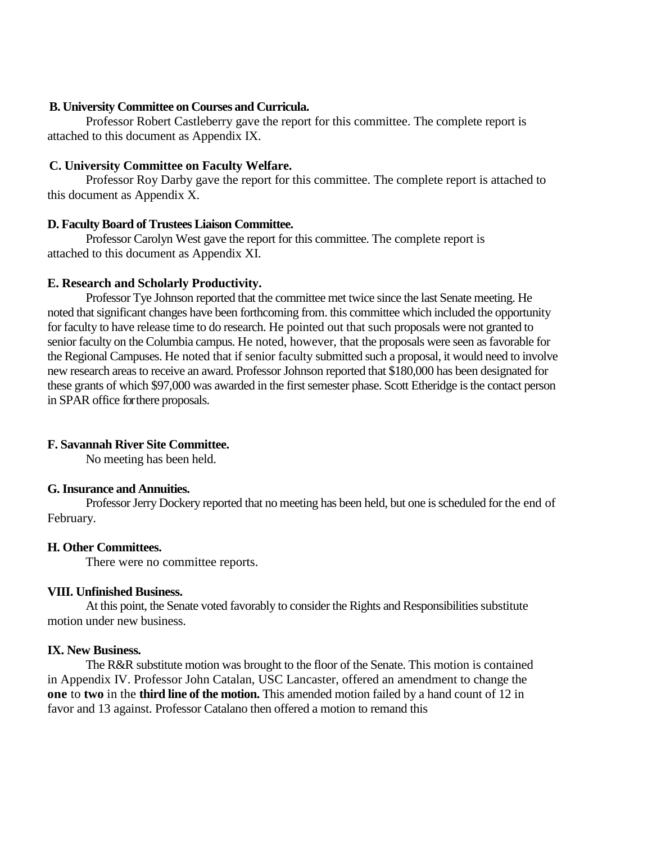#### **B. University Committee on Courses and Curricula.**

Professor Robert Castleberry gave the report for this committee. The complete report is attached to this document as Appendix IX.

#### **C. University Committee on Faculty Welfare.**

Professor Roy Darby gave the report for this committee. The complete report is attached to this document as Appendix X.

### **D. Faculty Board of Trustees Liaison Committee.**

Professor Carolyn West gave the report for this committee. The complete report is attached to this document as Appendix XI.

### **E. Research and Scholarly Productivity.**

Professor Tye Johnson reported that the committee met twice since the last Senate meeting. He noted that significant changes have been forthcoming from. this committee which included the opportunity for faculty to have release time to do research. He pointed out that such proposals were not granted to senior faculty on the Columbia campus. He noted, however, that the proposals were seen as favorable for the Regional Campuses. He noted that if senior faculty submitted such a proposal, it would need to involve new research areas to receive an award. Professor Johnson reported that \$180,000 has been designated for these grants of which \$97,000 was awarded in the first semester phase. Scott Etheridge is the contact person in SPAR office for there proposals.

### **F. Savannah River Site Committee.**

No meeting has been held.

#### **G. Insurance and Annuities.**

Professor Jerry Dockery reported that no meeting has been held, but one is scheduled for the end of February.

#### **H. Other Committees.**

There were no committee reports.

#### **VIII. Unfinished Business.**

At this point, the Senate voted favorably to consider the Rights and Responsibilities substitute motion under new business.

### **IX. New Business.**

The R&R substitute motion was brought to the floor of the Senate. This motion is contained in Appendix IV. Professor John Catalan, USC Lancaster, offered an amendment to change the **one** to **two** in the **third line of the motion.** This amended motion failed by a hand count of 12 in favor and 13 against. Professor Catalano then offered a motion to remand this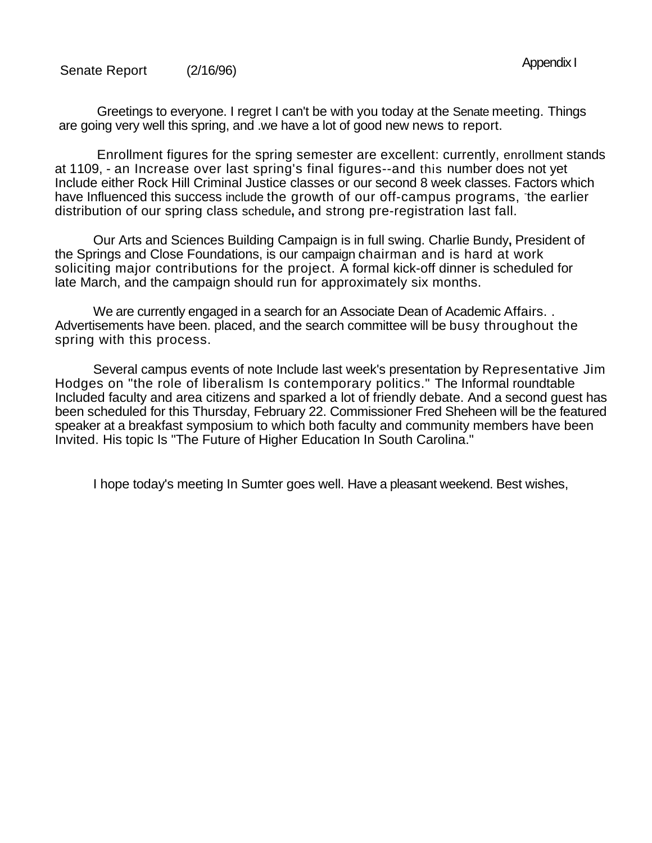Greetings to everyone. I regret I can't be with you today at the Senate meeting. Things are going very well this spring, and .we have a lot of good new news to report.

Enrollment figures for the spring semester are excellent: currently, enrollment stands at 1109, - an Increase over last spring's final figures--and this number does not yet Include either Rock Hill Criminal Justice classes or our second 8 week classes. Factors which have Influenced this success include the growth of our off-campus programs, the earlier distribution of our spring class schedule**,** and strong pre-registration last fall.

Our Arts and Sciences Building Campaign is in full swing. Charlie Bundy**,** President of the Springs and Close Foundations, is our campaign chairman and is hard at work soliciting major contributions for the project. A formal kick-off dinner is scheduled for late March, and the campaign should run for approximately six months.

We are currently engaged in a search for an Associate Dean of Academic Affairs. . Advertisements have been. placed, and the search committee will be busy throughout the spring with this process.

Several campus events of note Include last week's presentation by Representative Jim Hodges on "the role of liberalism Is contemporary politics." The Informal roundtable Included faculty and area citizens and sparked a lot of friendly debate. And a second guest has been scheduled for this Thursday, February 22. Commissioner Fred Sheheen will be the featured speaker at a breakfast symposium to which both faculty and community members have been Invited. His topic Is "The Future of Higher Education In South Carolina."

I hope today's meeting In Sumter goes well. Have a pleasant weekend. Best wishes,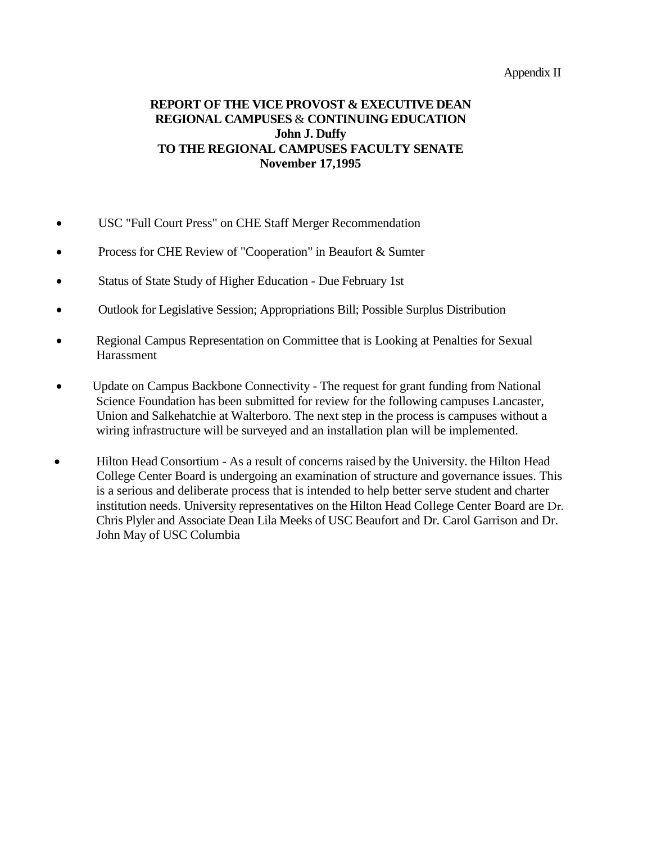#### Appendix II

### **REPORT OF THE VICE PROVOST & EXECUTIVE DEAN REGIONAL CAMPUSES** & **CONTINUING EDUCATION John J. Duffy TO THE REGIONAL CAMPUSES FACULTY SENATE November 17,1995**

- USC "Full Court Press" on CHE Staff Merger Recommendation
- Process for CHE Review of "Cooperation" in Beaufort & Sumter
- Status of State Study of Higher Education Due February 1st
- Outlook for Legislative Session; Appropriations Bill; Possible Surplus Distribution
- Regional Campus Representation on Committee that is Looking at Penalties for Sexual Harassment
- Update on Campus Backbone Connectivity The request for grant funding from National Science Foundation has been submitted for review for the following campuses Lancaster, Union and Salkehatchie at Walterboro. The next step in the process is campuses without a wiring infrastructure will be surveyed and an installation plan will be implemented.
- Hilton Head Consortium As a result of concerns raised by the University. the Hilton Head College Center Board is undergoing an examination of structure and governance issues. This is a serious and deliberate process that is intended to help better serve student and charter institution needs. University representatives on the Hilton Head College Center Board are Dr. Chris Plyler and Associate Dean Lila Meeks of USC Beaufort and Dr. Carol Garrison and Dr. John May of USC Columbia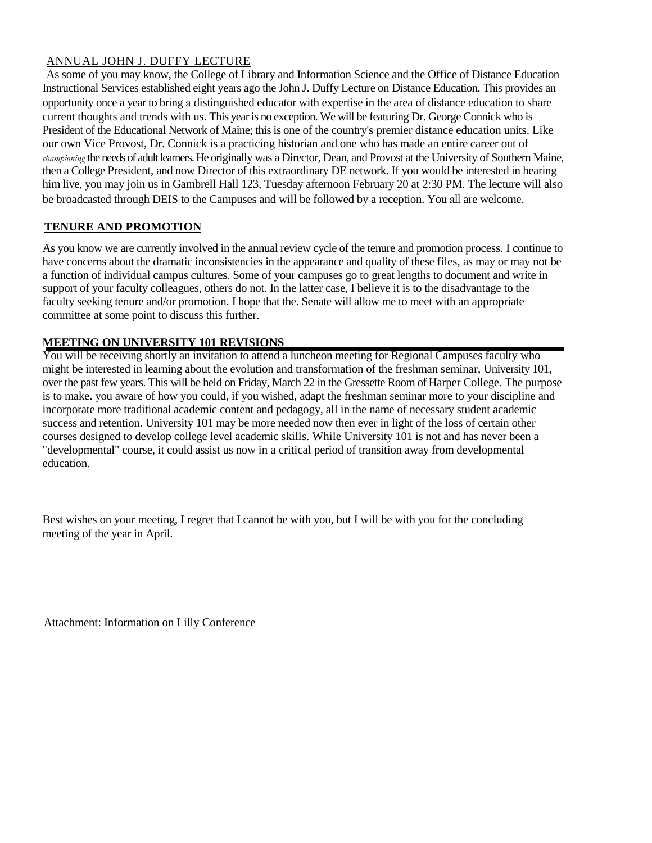#### ANNUAL JOHN J. DUFFY LECTURE

As some of you may know, the College of Library and Information Science and the Office of Distance Education Instructional Services established eight years ago the John J. Duffy Lecture on Distance Education. This provides an opportunity once a year to bring a distinguished educator with expertise in the area of distance education to share current thoughts and trends with us. This year is no exception. We will be featuring Dr. George Connick who is President of the Educational Network of Maine; this is one of the country's premier distance education units. Like our own Vice Provost, Dr. Connick is a practicing historian and one who has made an entire career out of *championing* the needs of adult learners. He originally was a Director, Dean, and Provost at the University of Southern Maine, then a College President, and now Director of this extraordinary DE network. If you would be interested in hearing him live, you may join us in Gambrell Hall 123, Tuesday afternoon February 20 at 2:30 PM. The lecture will also be broadcasted through DEIS to the Campuses and will be followed by a reception. You all are welcome.

#### **TENURE AND PROMOTION**

As you know we are currently involved in the annual review cycle of the tenure and promotion process. I continue to have concerns about the dramatic inconsistencies in the appearance and quality of these files, as may or may not be a function of individual campus cultures. Some of your campuses go to great lengths to document and write in support of your faculty colleagues, others do not. In the latter case, I believe it is to the disadvantage to the faculty seeking tenure and/or promotion. I hope that the. Senate will allow me to meet with an appropriate committee at some point to discuss this further.

#### **MEETING ON UNIVERSITY 101 REVISIONS**

You will be receiving shortly an invitation to attend a luncheon meeting for Regional Campuses faculty who might be interested in learning about the evolution and transformation of the freshman seminar, University 101, over the past few years. This will be held on Friday, March 22 in the Gressette Room of Harper College. The purpose is to make. you aware of how you could, if you wished, adapt the freshman seminar more to your discipline and incorporate more traditional academic content and pedagogy, all in the name of necessary student academic success and retention. University 101 may be more needed now then ever in light of the loss of certain other courses designed to develop college level academic skills. While University 101 is not and has never been a "developmental" course, it could assist us now in a critical period of transition away from developmental education.

Best wishes on your meeting, I regret that I cannot be with you, but I will be with you for the concluding meeting of the year in April.

Attachment: Information on Lilly Conference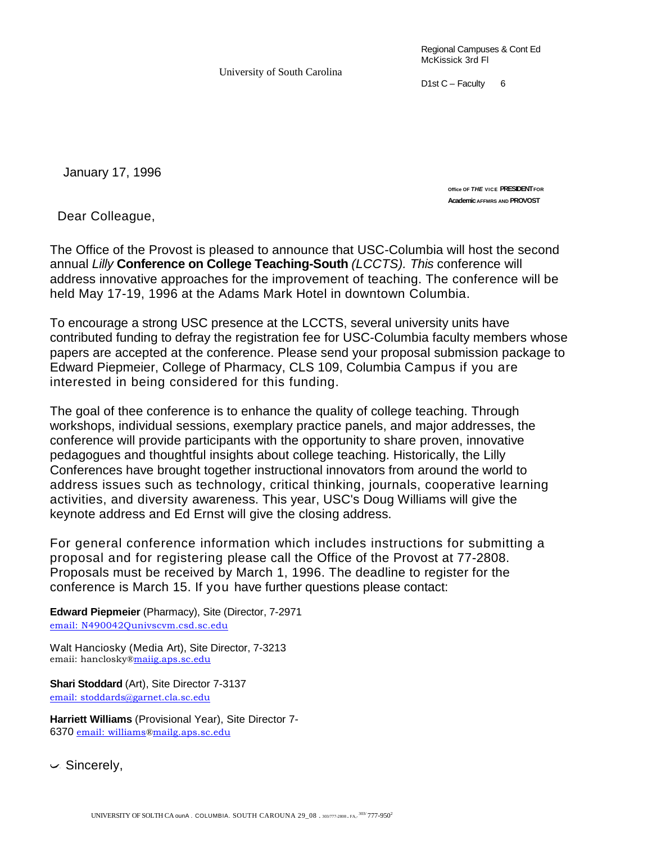University of South Carolina

Regional Campuses & Cont Ed McKissick 3rd Fl

D1st  $C$  – Faculty 6

January 17, 1996

**Office OF** *THE* **VICE PRESIDENT FOR Academic AFFMRS AND PROVOST** 

Dear Colleague,

The Office of the Provost is pleased to announce that USC-Columbia will host the second annual *Lilly* **Conference on College Teaching-South** *(LCCTS). This* conference will address innovative approaches for the improvement of teaching. The conference will be held May 17-19, 1996 at the Adams Mark Hotel in downtown Columbia.

To encourage a strong USC presence at the LCCTS, several university units have contributed funding to defray the registration fee for USC-Columbia faculty members whose papers are accepted at the conference. Please send your proposal submission package to Edward Piepmeier, College of Pharmacy, CLS 109, Columbia Campus if you are interested in being considered for this funding.

The goal of thee conference is to enhance the quality of college teaching. Through workshops, individual sessions, exemplary practice panels, and major addresses, the conference will provide participants with the opportunity to share proven, innovative pedagogues and thoughtful insights about college teaching. Historically, the Lilly Conferences have brought together instructional innovators from around the world to address issues such as technology, critical thinking, journals, cooperative learning activities, and diversity awareness. This year, USC's Doug Williams will give the keynote address and Ed Ernst will give the closing address.

For general conference information which includes instructions for submitting a proposal and for registering please call the Office of the Provost at 77-2808. Proposals must be received by March 1, 1996. The deadline to register for the conference is March 15. If you have further questions please contact:

**Edward Piepmeier** (Pharmacy), Site (Director, 7-2971 [email: N490042Qunivscvm.csd.sc.edu](mailto:N490042Qunivscvm.csd.sc.edu)

Walt Hanciosky (Media Art), Site Director, 7-3213 emaii: hanclosky[®maiig.aps.sc.edu](http://maiig.aps.sc.edu/)

**Shari Stoddard** (Art), Site Director 7-3137 [email: stoddards@garnet.cla.sc.edu](mailto:stoddards@garnet.cla.sc.edu)

**Harriett Williams** (Provisional Year), Site Director 7- 6370 [email: williams](mailto:williams)[®mailg.aps.sc.edu](http://mailg.aps.sc.edu/)

 $\backsim$  Sincerely,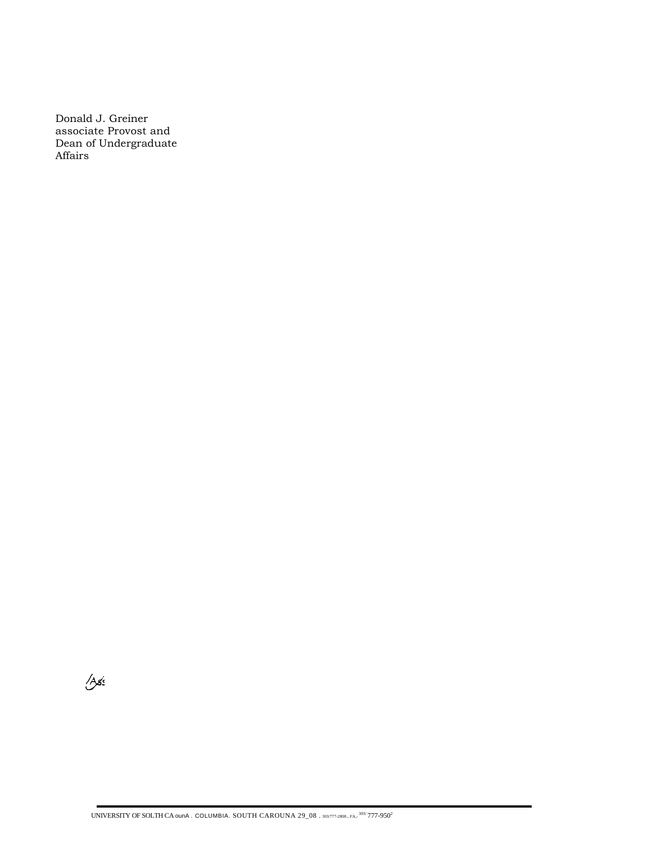Donald J. Greiner associate Provost and Dean of Undergraduate Affairs

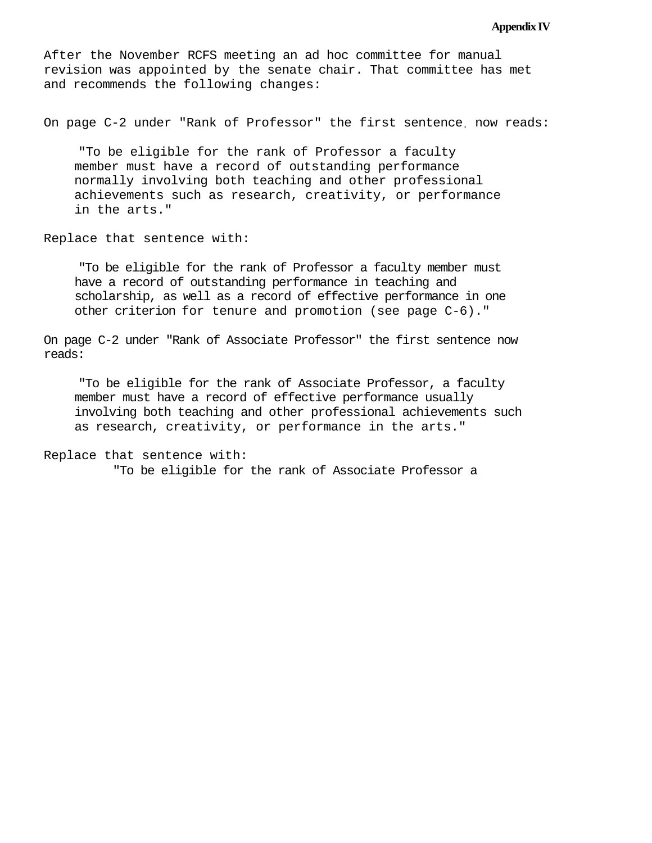#### **Appendix IV**

After the November RCFS meeting an ad hoc committee for manual revision was appointed by the senate chair. That committee has met and recommends the following changes:

On page C-2 under "Rank of Professor" the first sentence. now reads:

"To be eligible for the rank of Professor a faculty member must have a record of outstanding performance normally involving both teaching and other professional achievements such as research, creativity, or performance in the arts."

Replace that sentence with:

"To be eligible for the rank of Professor a faculty member must have a record of outstanding performance in teaching and scholarship, as well as a record of effective performance in one other criterion for tenure and promotion (see page C-6)."

On page C-2 under "Rank of Associate Professor" the first sentence now reads:

"To be eligible for the rank of Associate Professor, a faculty member must have a record of effective performance usually involving both teaching and other professional achievements such as research, creativity, or performance in the arts."

```
Replace that sentence with:
"To be eligible for the rank of Associate Professor a
```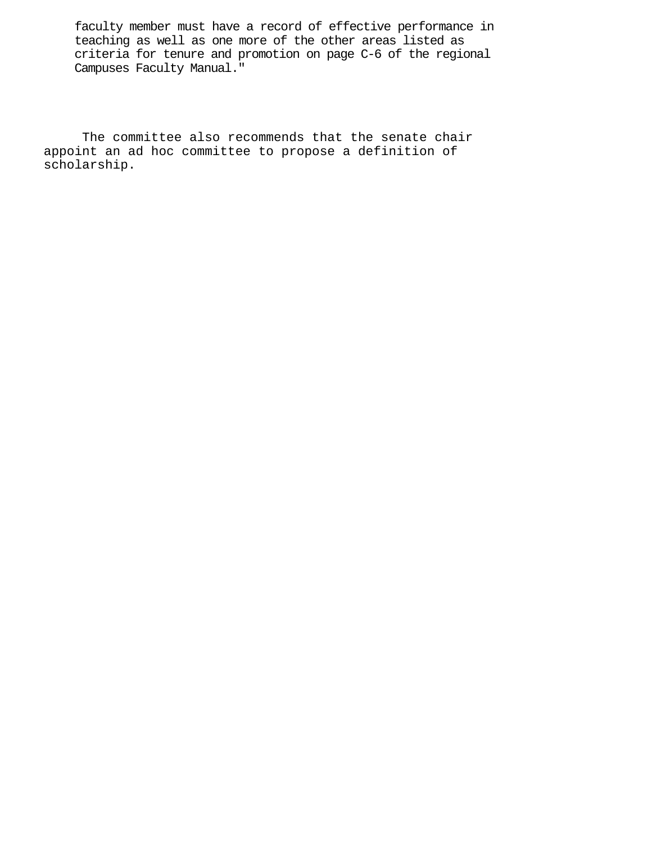faculty member must have a record of effective performance in teaching as well as one more of the other areas listed as criteria for tenure and promotion on page C-6 of the regional Campuses Faculty Manual."

The committee also recommends that the senate chair appoint an ad hoc committee to propose a definition of scholarship.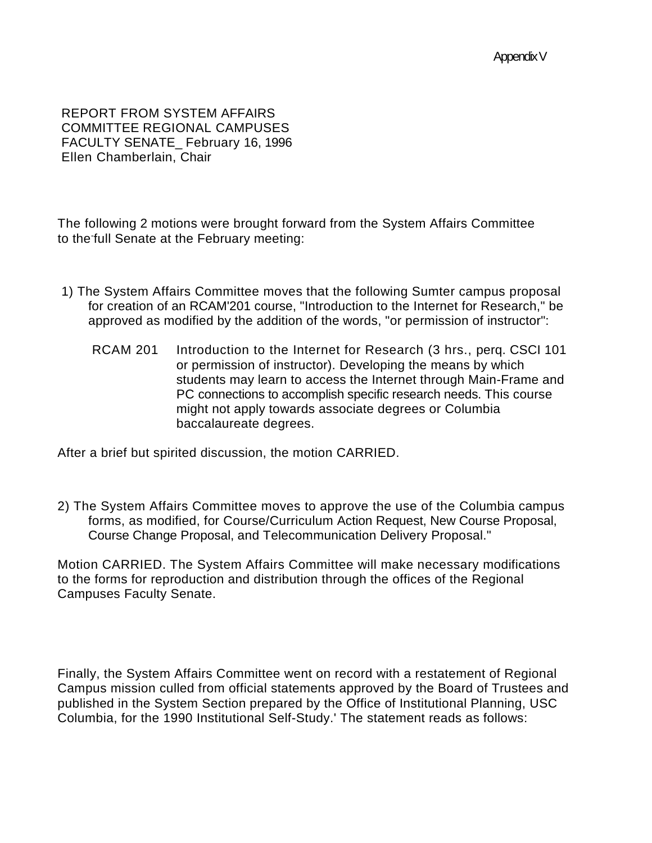REPORT FROM SYSTEM AFFAIRS COMMITTEE REGIONAL CAMPUSES FACULTY SENATE\_ February 16, 1996 Ellen Chamberlain, Chair

The following 2 motions were brought forward from the System Affairs Committee to the-full Senate at the February meeting:

- 1) The System Affairs Committee moves that the following Sumter campus proposal for creation of an RCAM'201 course, "Introduction to the Internet for Research," be approved as modified by the addition of the words, "or permission of instructor":
	- RCAM 201 Introduction to the Internet for Research (3 hrs., perq. CSCI 101 or permission of instructor). Developing the means by which students may learn to access the Internet through Main-Frame and PC connections to accomplish specific research needs. This course might not apply towards associate degrees or Columbia baccalaureate degrees.

After a brief but spirited discussion, the motion CARRIED.

2) The System Affairs Committee moves to approve the use of the Columbia campus forms, as modified, for Course/Curriculum Action Request, New Course Proposal, Course Change Proposal, and Telecommunication Delivery Proposal."

Motion CARRIED. The System Affairs Committee will make necessary modifications to the forms for reproduction and distribution through the offices of the Regional Campuses Faculty Senate.

Finally, the System Affairs Committee went on record with a restatement of Regional Campus mission culled from official statements approved by the Board of Trustees and published in the System Section prepared by the Office of Institutional Planning, USC Columbia, for the 1990 Institutional Self-Study.' The statement reads as follows: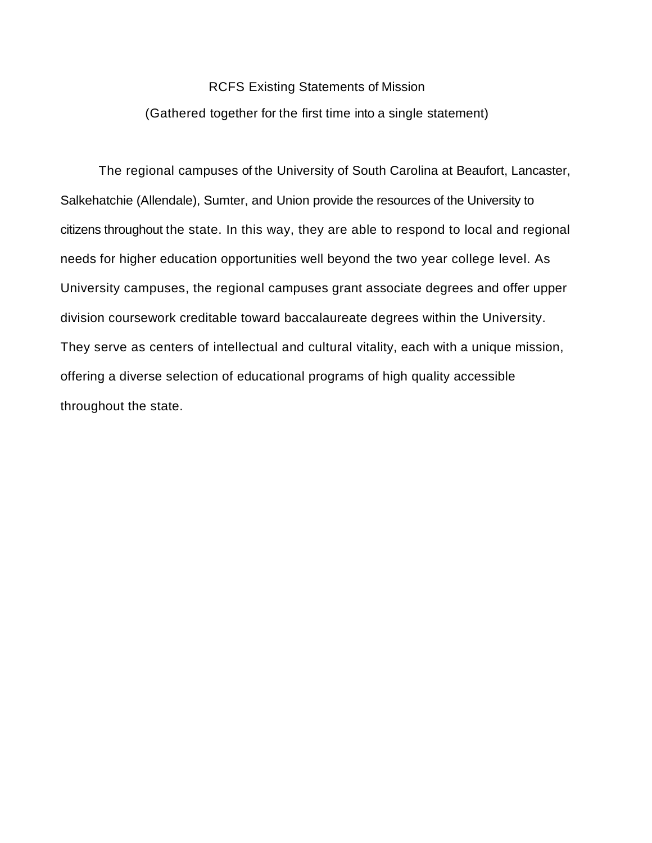# RCFS Existing Statements of Mission (Gathered together for the first time into a single statement)

The regional campuses of the University of South Carolina at Beaufort, Lancaster, Salkehatchie (Allendale), Sumter, and Union provide the resources of the University to citizens throughout the state. In this way, they are able to respond to local and regional needs for higher education opportunities well beyond the two year college level. As University campuses, the regional campuses grant associate degrees and offer upper division coursework creditable toward baccalaureate degrees within the University. They serve as centers of intellectual and cultural vitality, each with a unique mission, offering a diverse selection of educational programs of high quality accessible throughout the state.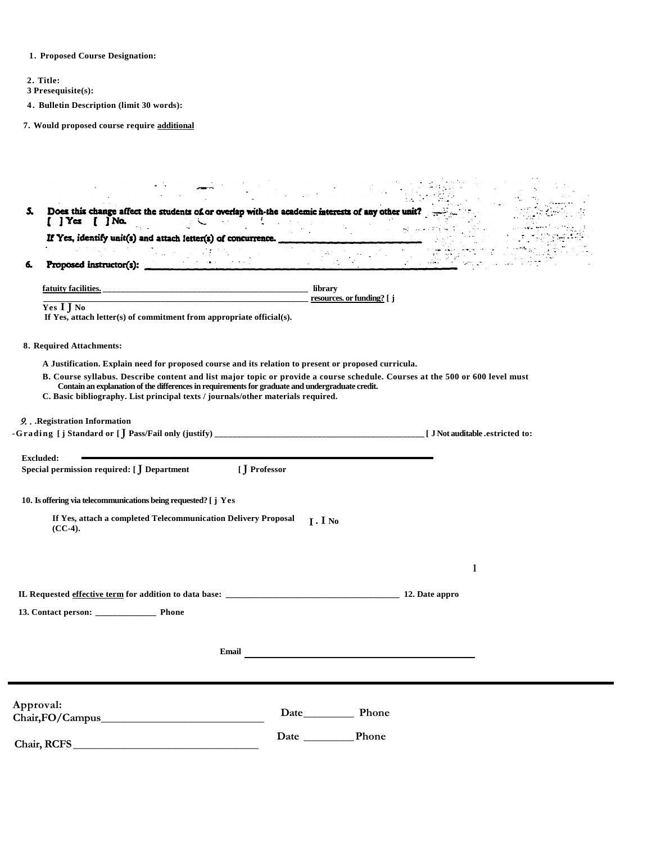**1. Proposed Course Designation:**

**2. Title:**

**3 Presequisite(s):**

**4. Bulletin Description (limit 30 words):**

**7. Would proposed course require additional** 

| 5. | Does this change affect the students of or overlap with-the academic interests of any other unit?<br>$\overline{1}$ ] Yes<br>$\int$ $\int$ $N\alpha$ .                               |                                                                                                                              |
|----|--------------------------------------------------------------------------------------------------------------------------------------------------------------------------------------|------------------------------------------------------------------------------------------------------------------------------|
|    | If Yes, identify unit(s) and attach letter(s) of concurrence.                                                                                                                        |                                                                                                                              |
|    |                                                                                                                                                                                      |                                                                                                                              |
| 6. | Proposed instructor(s):                                                                                                                                                              |                                                                                                                              |
|    | fatuity facilities.                                                                                                                                                                  | library                                                                                                                      |
|    | Yes I J No<br>If Yes, attach letter(s) of commitment from appropriate official(s).                                                                                                   | resources. or funding? [ j                                                                                                   |
|    | 8. Required Attachments:                                                                                                                                                             |                                                                                                                              |
|    | A Justification. Explain need for proposed course and its relation to present or proposed curricula.                                                                                 |                                                                                                                              |
|    | Contain an explanation of the differences in requirements for graduate and undergraduate credit.<br>C. Basic bibliography. List principal texts / journals/other materials required. | B. Course syllabus. Describe content and list major topic or provide a course schedule. Courses at the 500 or 600 level must |
|    | 9. . Registration Information                                                                                                                                                        | [ J Not auditable .estricted to:                                                                                             |
|    | <b>Excluded:</b><br>Special permission required: [ ] Department                                                                                                                      | [J Professor                                                                                                                 |
|    | 10. Is offering via telecommunications being requested? [ j Yes                                                                                                                      |                                                                                                                              |
|    | If Yes, attach a completed Telecommunication Delivery Proposal<br>$(CC-4)$ .                                                                                                         | $I \cdot I$ No                                                                                                               |
|    |                                                                                                                                                                                      |                                                                                                                              |
|    |                                                                                                                                                                                      | 1                                                                                                                            |
|    |                                                                                                                                                                                      | 12. Date appro                                                                                                               |
|    |                                                                                                                                                                                      |                                                                                                                              |
|    |                                                                                                                                                                                      |                                                                                                                              |
|    | <b>Email</b>                                                                                                                                                                         |                                                                                                                              |
|    |                                                                                                                                                                                      |                                                                                                                              |
|    | Approval:                                                                                                                                                                            |                                                                                                                              |
|    | Chair, FO/Campus                                                                                                                                                                     |                                                                                                                              |
|    | Chair, RCFS                                                                                                                                                                          |                                                                                                                              |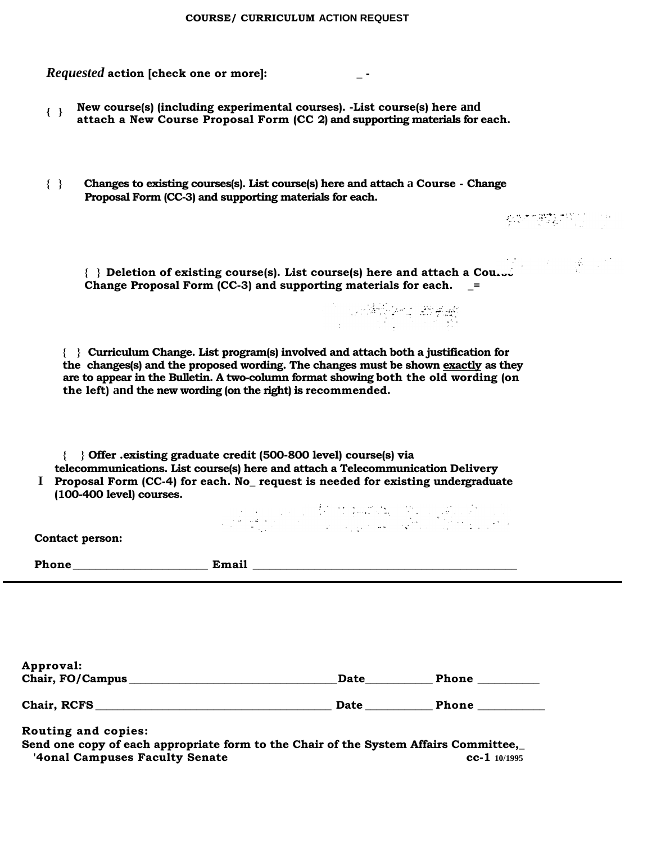| COURSE/ CURRICULUM ACTION REQUEST |  |
|-----------------------------------|--|
|-----------------------------------|--|

| <i>Requested</i> action [check one or more]: |  |  |
|----------------------------------------------|--|--|
|----------------------------------------------|--|--|

- **New course(s) (including experimental courses). -List course(s) here and attach a New Course Proposal Form (CC 2) and supporting materials for each. { }**
- **{ } Changes to existing courses(s). List course(s) here and attach a Course - Change Proposal Form (CC-3) and supporting materials for each.**

**{ } Deletion of existing course(s). List course(s) here and attach a Course Change Proposal Form (CC-3) and supporting materials for each. \_=**

**{ } Curriculum Change. List program(s) involved and attach both a justification for the changes(s) and the proposed wording. The changes must be shown exactly as they are to appear in the Bulletin. A two-column format showing both the old wording (on the left) and the new wording (on the right) is recommended.**

**{ } Offer .existing graduate credit (500-800 level) course(s) via telecommunications. List course(s) here and attach a Telecommunication Delivery** 

**Proposal Form (CC-4) for each. No\_ request is needed for existing undergraduate I(100-400 level) courses.**

**你们的**就可以

| <b>Contact person:</b> |       |  |
|------------------------|-------|--|
| Phone                  | Email |  |
|                        |       |  |

| Approval:        |      |       |  |
|------------------|------|-------|--|
| Chair, FO/Campus | Date | Phone |  |
|                  |      |       |  |
| Chair, RCFS      | Date | Phone |  |

**Routing and copies: Send one copy of each appropriate form to the Chair of the System Affairs Committee,\_ '4onal Campuses Faculty Senate cc-1 10/1995**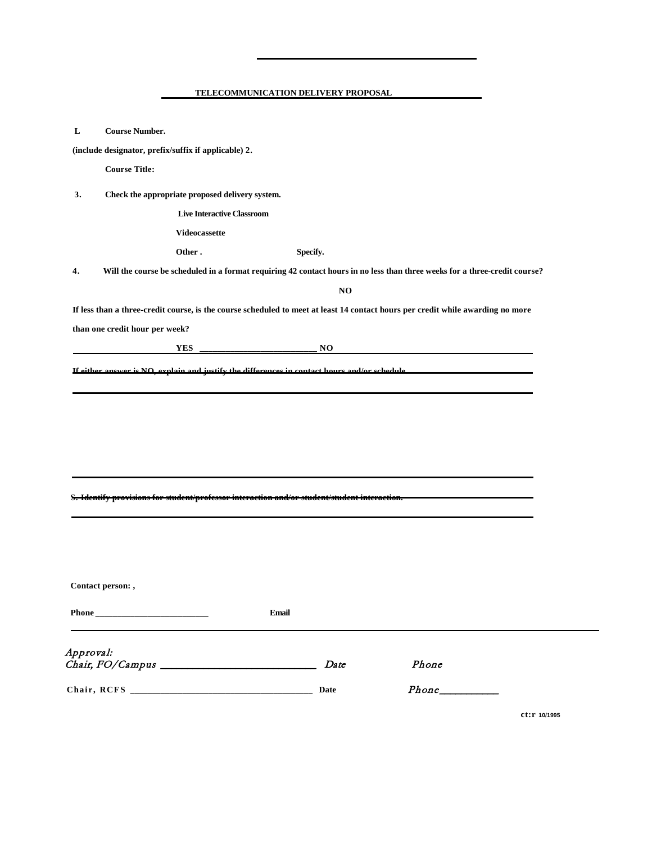| L         | <b>Course Number.</b>          |                                                                                                                                 |              |          |       |  |
|-----------|--------------------------------|---------------------------------------------------------------------------------------------------------------------------------|--------------|----------|-------|--|
|           |                                | (include designator, prefix/suffix if applicable) 2.                                                                            |              |          |       |  |
|           | <b>Course Title:</b>           |                                                                                                                                 |              |          |       |  |
| 3.        |                                | Check the appropriate proposed delivery system.                                                                                 |              |          |       |  |
|           |                                | <b>Live Interactive Classroom</b>                                                                                               |              |          |       |  |
|           |                                | Videocassette                                                                                                                   |              |          |       |  |
|           |                                | Other.                                                                                                                          |              | Specify. |       |  |
| 4.        |                                | Will the course be scheduled in a format requiring 42 contact hours in no less than three weeks for a three-credit course?      |              |          |       |  |
|           |                                |                                                                                                                                 |              | NO       |       |  |
|           |                                | If less than a three-credit course, is the course scheduled to meet at least 14 contact hours per credit while awarding no more |              |          |       |  |
|           | than one credit hour per week? |                                                                                                                                 |              |          |       |  |
|           |                                | <b>YES</b>                                                                                                                      |              | NO       |       |  |
|           |                                |                                                                                                                                 |              |          |       |  |
|           |                                |                                                                                                                                 |              |          |       |  |
|           |                                | S. Identify provisions for student/professor interaction and/or student/student interaction.                                    |              |          |       |  |
|           |                                |                                                                                                                                 |              |          |       |  |
|           |                                |                                                                                                                                 |              |          |       |  |
|           | Contact person:,               |                                                                                                                                 |              |          |       |  |
|           |                                |                                                                                                                                 | <b>Email</b> |          |       |  |
| Approval: |                                |                                                                                                                                 |              | Date     | Phone |  |

**ct:r 10/1995**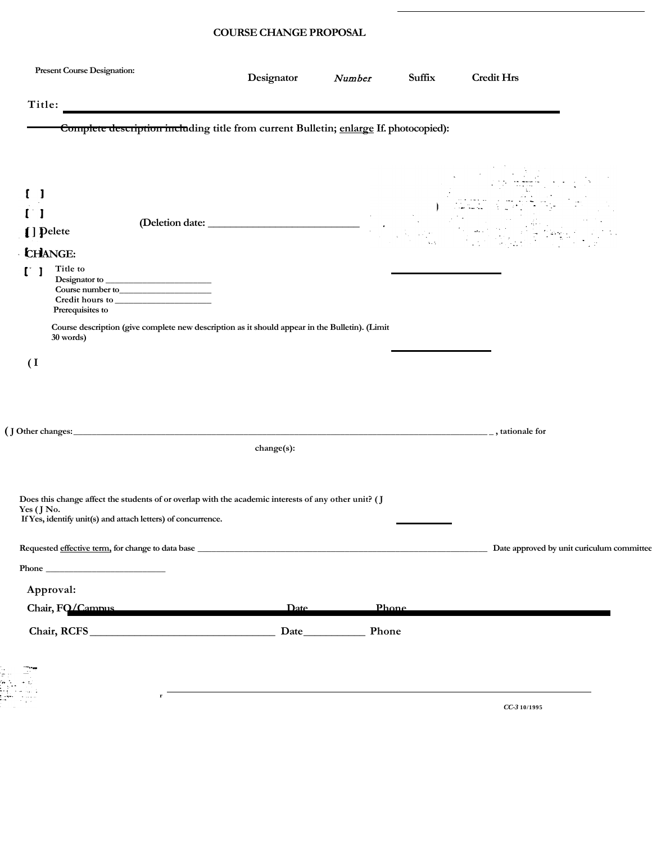#### **COURSE CHANGE PROPOSAL**

| <b>Present Course Designation:</b>                                                                                                                                                                                                                                                                                                                                                                                                                                                                                                                                                                                                                                                                  | Designator    | Number | Suffix       | <b>Credit Hrs</b>                         |  |
|-----------------------------------------------------------------------------------------------------------------------------------------------------------------------------------------------------------------------------------------------------------------------------------------------------------------------------------------------------------------------------------------------------------------------------------------------------------------------------------------------------------------------------------------------------------------------------------------------------------------------------------------------------------------------------------------------------|---------------|--------|--------------|-------------------------------------------|--|
| Title:                                                                                                                                                                                                                                                                                                                                                                                                                                                                                                                                                                                                                                                                                              |               |        |              |                                           |  |
| Complete description including title from current Bulletin; enlarge If. photocopied):                                                                                                                                                                                                                                                                                                                                                                                                                                                                                                                                                                                                               |               |        |              |                                           |  |
| [] Pelete<br><b>CHANGE:</b><br>Title to<br>Prerequisites to<br>Course description (give complete new description as it should appear in the Bulletin). (Limit<br>30 words)<br>$\overline{1}$                                                                                                                                                                                                                                                                                                                                                                                                                                                                                                        |               |        |              |                                           |  |
|                                                                                                                                                                                                                                                                                                                                                                                                                                                                                                                                                                                                                                                                                                     |               |        |              |                                           |  |
|                                                                                                                                                                                                                                                                                                                                                                                                                                                                                                                                                                                                                                                                                                     | $change(s)$ : |        |              |                                           |  |
| Does this change affect the students of or overlap with the academic interests of any other unit? (J<br>Yes $(J$ No.<br>If Yes, identify unit(s) and attach letters) of concurrence.<br>$\begin{tabular}{c}  \bf Phone \hspace{2.5cm} \begin{tabular}{@{}c@{}} \textbf{\normalsize{2.6}} & \textbf{\normalsize{2.6}} \\ \textbf{\normalsize{2.6}} & \textbf{\normalsize{2.6}} & \textbf{\normalsize{2.6}} \\ \textbf{\normalsize{2.6}} & \textbf{\normalsize{2.6}} & \textbf{\normalsize{2.6}} \\ \textbf{\normalsize{2.6}} & \textbf{\normalsize{2.6}} & \textbf{\normalsize{2.6}} \\ \textbf{\normalsize{2.6}} & \textbf{\normalsize{2.6}} & \textbf{\normalsize{2.6}} \\ \textbf{\$<br>Approval: |               |        |              | Date approved by unit curiculum committee |  |
| Chair, FO/Campus                                                                                                                                                                                                                                                                                                                                                                                                                                                                                                                                                                                                                                                                                    | Date          |        | <b>Phone</b> |                                           |  |
|                                                                                                                                                                                                                                                                                                                                                                                                                                                                                                                                                                                                                                                                                                     |               |        |              |                                           |  |
| r                                                                                                                                                                                                                                                                                                                                                                                                                                                                                                                                                                                                                                                                                                   |               |        |              |                                           |  |

*CC-3* **10/1995**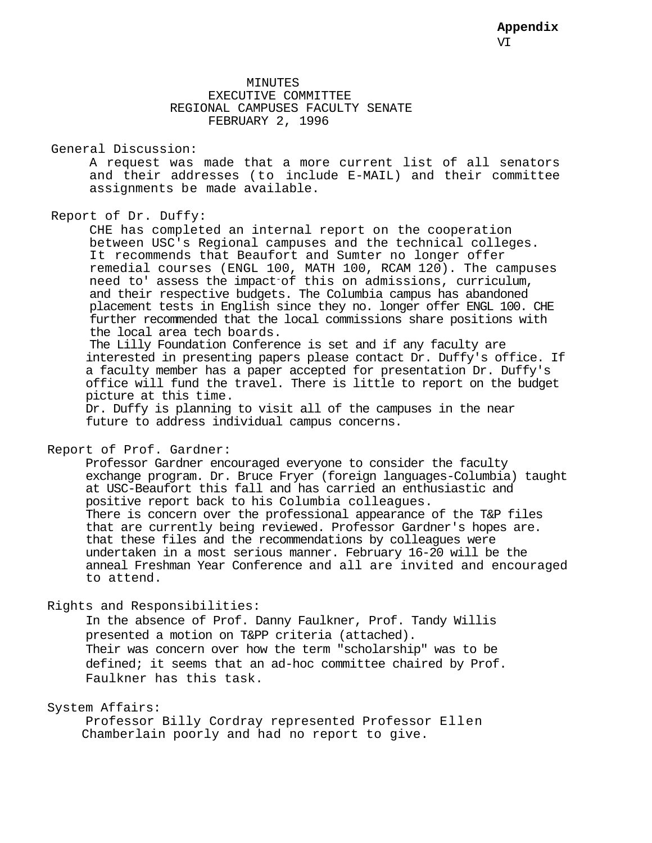#### MINUTES EXECUTIVE COMMITTEE REGIONAL CAMPUSES FACULTY SENATE FEBRUARY 2, 1996

#### General Discussion:

A request was made that a more current list of all senators and their addresses (to include E-MAIL) and their committee assignments be made available.

#### Report of Dr. Duffy:

CHE has completed an internal report on the cooperation between USC's Regional campuses and the technical colleges. It recommends that Beaufort and Sumter no longer offer remedial courses (ENGL 100, MATH 100, RCAM 120). The campuses need to' assess the impact-of this on admissions, curriculum, and their respective budgets. The Columbia campus has abandoned placement tests in English since they no. longer offer ENGL 100. CHE further recommended that the local commissions share positions with the local area tech boards.

The Lilly Foundation Conference is set and if any faculty are interested in presenting papers please contact Dr. Duffy's office. If a faculty member has a paper accepted for presentation Dr. Duffy's office will fund the travel. There is little to report on the budget picture at this time.

Dr. Duffy is planning to visit all of the campuses in the near future to address individual campus concerns.

#### Report of Prof. Gardner:

Professor Gardner encouraged everyone to consider the faculty exchange program. Dr. Bruce Fryer (foreign languages-Columbia) taught at USC-Beaufort this fall and has carried an enthusiastic and positive report back to his Columbia colleagues. There is concern over the professional appearance of the T&P files that are currently being reviewed. Professor Gardner's hopes are. that these files and the recommendations by colleagues were undertaken in a most serious manner. February 16-20 will be the anneal Freshman Year Conference and all are invited and encouraged to attend.

#### Rights and Responsibilities:

In the absence of Prof. Danny Faulkner, Prof. Tandy Willis presented a motion on T&PP criteria (attached). Their was concern over how the term "scholarship" was to be defined; it seems that an ad-hoc committee chaired by Prof. Faulkner has this task.

#### System Affairs:

Professor Billy Cordray represented Professor Ellen Chamberlain poorly and had no report to give.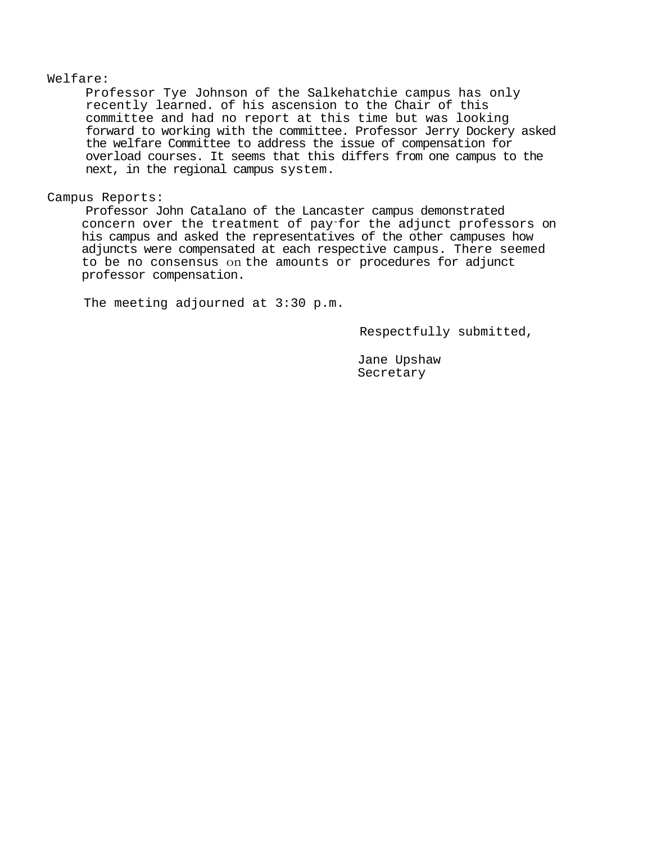#### Welfare:

Professor Tye Johnson of the Salkehatchie campus has only recently learned. of his ascension to the Chair of this committee and had no report at this time but was looking forward to working with the committee. Professor Jerry Dockery asked the welfare Committee to address the issue of compensation for overload courses. It seems that this differs from one campus to the next, in the regional campus system.

#### Campus Reports:

Professor John Catalano of the Lancaster campus demonstrated concern over the treatment of pay-for the adjunct professors on his campus and asked the representatives of the other campuses how adjuncts were compensated at each respective campus. There seemed to be no consensus on the amounts or procedures for adjunct professor compensation.

The meeting adjourned at 3:30 p.m.

Respectfully submitted,

Jane Upshaw Secretary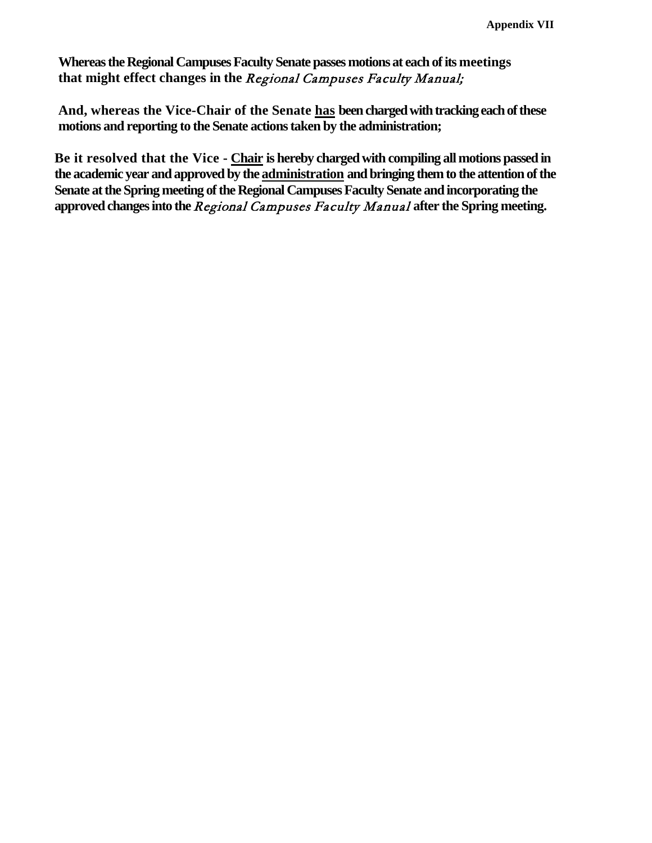**Whereas the Regional Campuses Faculty Senate passes motions at each of its meetings that might effect changes in the** Regional Campuses Faculty Manual;

**And, whereas the Vice-Chair of the Senate has been charged with tracking each of these motions and reporting to the Senate actions taken by the administration;**

**Be it resolved that the Vice - Chair is hereby charged with compiling all motions passed in the academic year and approved by the administration and bringing them to the attention of the Senate at the Spring meeting of the Regional Campuses Faculty Senate and incorporating the approved changes into the** Regional Campuses Faculty Manual **after the Spring meeting.**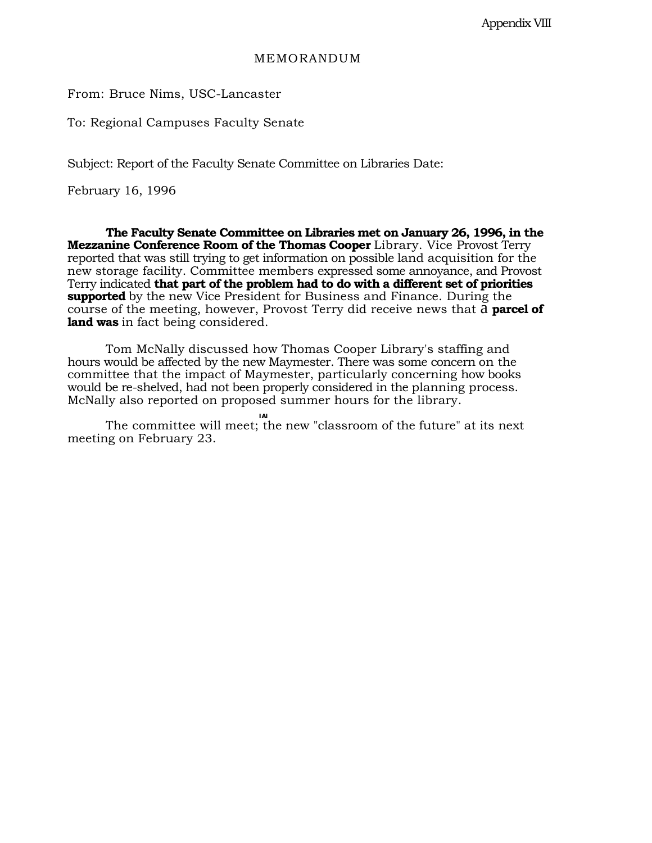#### MEMORANDUM

From: Bruce Nims, USC-Lancaster

To: Regional Campuses Faculty Senate

Subject: Report of the Faculty Senate Committee on Libraries Date:

February 16, 1996

**The Faculty Senate Committee on Libraries met on January 26, 1996, in the Mezzanine Conference Room of the Thomas Cooper** Library. Vice Provost Terry reported that was still trying to get information on possible land acquisition for the new storage facility. Committee members expressed some annoyance, and Provost Terry indicated **that part of the problem had to do with a different set of priorities supported** by the new Vice President for Business and Finance. During the course of the meeting, however, Provost Terry did receive news that a **parcel of land was** in fact being considered.

Tom McNally discussed how Thomas Cooper Library's staffing and hours would be affected by the new Maymester. There was some concern on the committee that the impact of Maymester, particularly concerning how books would be re-shelved, had not been properly considered in the planning process. McNally also reported on proposed summer hours for the library.

**IAI** The committee will meet; the new "classroom of the future" at its next meeting on February 23.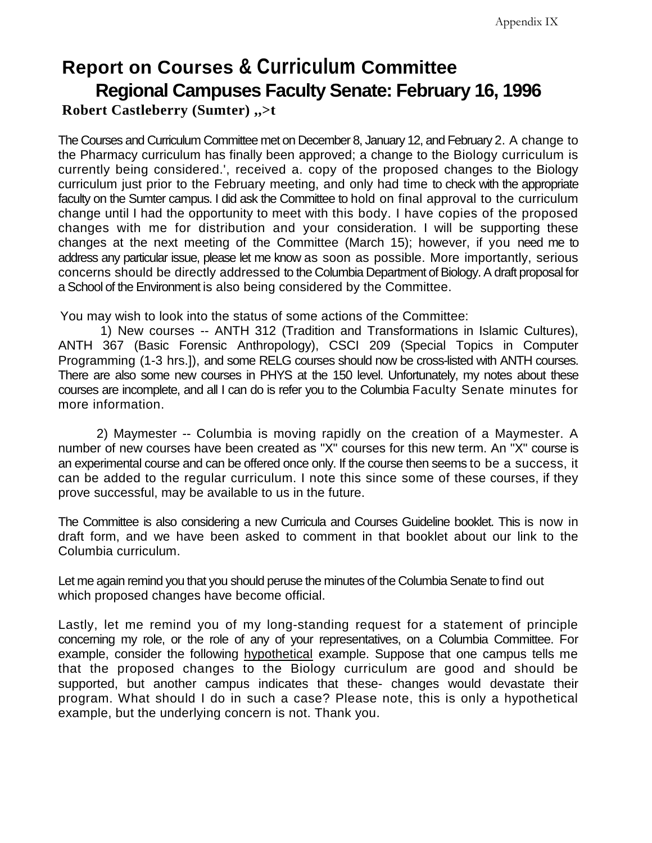# **Report on Courses & Curriculum Committee Regional Campuses Faculty Senate: February 16, 1996 Robert Castleberry (Sumter) ,,>t**

The Courses and Curriculum Committee met on December 8, January 12, and February 2. A change to the Pharmacy curriculum has finally been approved; a change to the Biology curriculum is currently being considered.', received a. copy of the proposed changes to the Biology curriculum just prior to the February meeting, and only had time to check with the appropriate faculty on the Sumter campus. I did ask the Committee to hold on final approval to the curriculum change until I had the opportunity to meet with this body. I have copies of the proposed changes with me for distribution and your consideration. I will be supporting these changes at the next meeting of the Committee (March 15); however, if you need me to address any particular issue, please let me know as soon as possible. More importantly, serious concerns should be directly addressed to the Columbia Department of Biology. A draft proposal for a School of the Environment is also being considered by the Committee.

You may wish to look into the status of some actions of the Committee:

1) New courses -- ANTH 312 (Tradition and Transformations in Islamic Cultures), ANTH 367 (Basic Forensic Anthropology), CSCI 209 (Special Topics in Computer Programming (1-3 hrs.]), and some RELG courses should now be cross-listed with ANTH courses. There are also some new courses in PHYS at the 150 level. Unfortunately, my notes about these courses are incomplete, and all I can do is refer you to the Columbia Faculty Senate minutes for more information.

2) Maymester -- Columbia is moving rapidly on the creation of a Maymester. A number of new courses have been created as "X" courses for this new term. An "X" course is an experimental course and can be offered once only. If the course then seems to be a success, it can be added to the regular curriculum. I note this since some of these courses, if they prove successful, may be available to us in the future.

The Committee is also considering a new Curricula and Courses Guideline booklet. This is now in draft form, and we have been asked to comment in that booklet about our link to the Columbia curriculum.

Let me again remind you that you should peruse the minutes of the Columbia Senate to find out which proposed changes have become official.

Lastly, let me remind you of my long-standing request for a statement of principle concerning my role, or the role of any of your representatives, on a Columbia Committee. For example, consider the following hypothetical example. Suppose that one campus tells me that the proposed changes to the Biology curriculum are good and should be supported, but another campus indicates that these- changes would devastate their program. What should I do in such a case? Please note, this is only a hypothetical example, but the underlying concern is not. Thank you.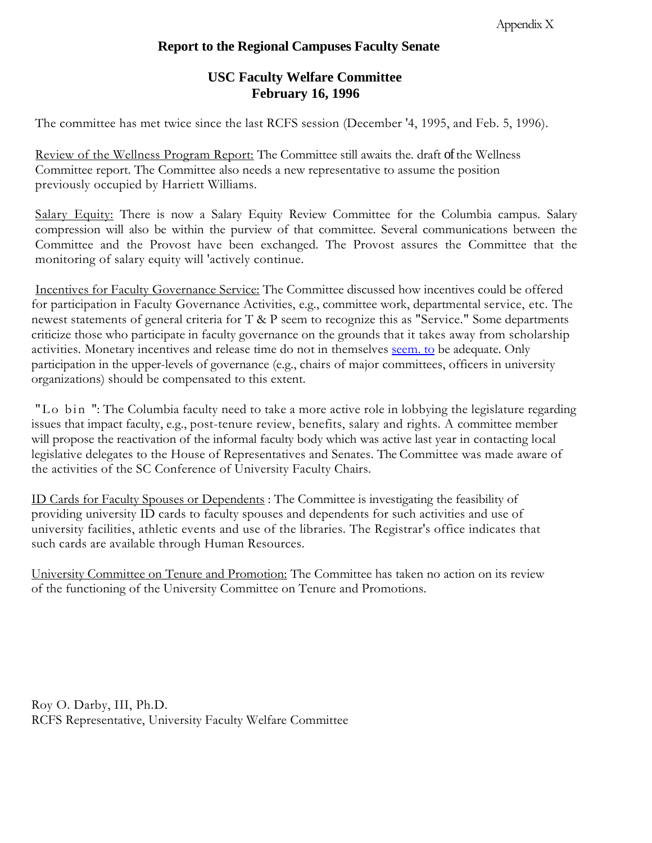# **Report to the Regional Campuses Faculty Senate**

# **USC Faculty Welfare Committee February 16, 1996**

The committee has met twice since the last RCFS session (December '4, 1995, and Feb. 5, 1996).

Review of the Wellness Program Report: The Committee still awaits the. draft of the Wellness Committee report. The Committee also needs a new representative to assume the position previously occupied by Harriett Williams.

Salary Equity: There is now a Salary Equity Review Committee for the Columbia campus. Salary compression will also be within the purview of that committee. Several communications between the Committee and the Provost have been exchanged. The Provost assures the Committee that the monitoring of salary equity will 'actively continue.

Incentives for Faculty Governance Service: The Committee discussed how incentives could be offered for participation in Faculty Governance Activities, e.g., committee work, departmental service, etc. The newest statements of general criteria for T & P seem to recognize this as "Service." Some departments criticize those who participate in faculty governance on the grounds that it takes away from scholarship activities. Monetary incentives and release time do not in themselves [seem. to](http://seem.to/) be adequate. Only participation in the upper-levels of governance (e.g., chairs of major committees, officers in university organizations) should be compensated to this extent.

"Lo bin ": The Columbia faculty need to take a more active role in lobbying the legislature regarding issues that impact faculty, e.g., post-tenure review, benefits, salary and rights. A committee member will propose the reactivation of the informal faculty body which was active last year in contacting local legislative delegates to the House of Representatives and Senates. The Committee was made aware of the activities of the SC Conference of University Faculty Chairs.

ID Cards for Faculty Spouses or Dependents : The Committee is investigating the feasibility of providing university ID cards to faculty spouses and dependents for such activities and use of university facilities, athletic events and use of the libraries. The Registrar's office indicates that such cards are available through Human Resources.

University Committee on Tenure and Promotion: The Committee has taken no action on its review of the functioning of the University Committee on Tenure and Promotions.

Roy O. Darby, III, Ph.D. RCFS Representative, University Faculty Welfare Committee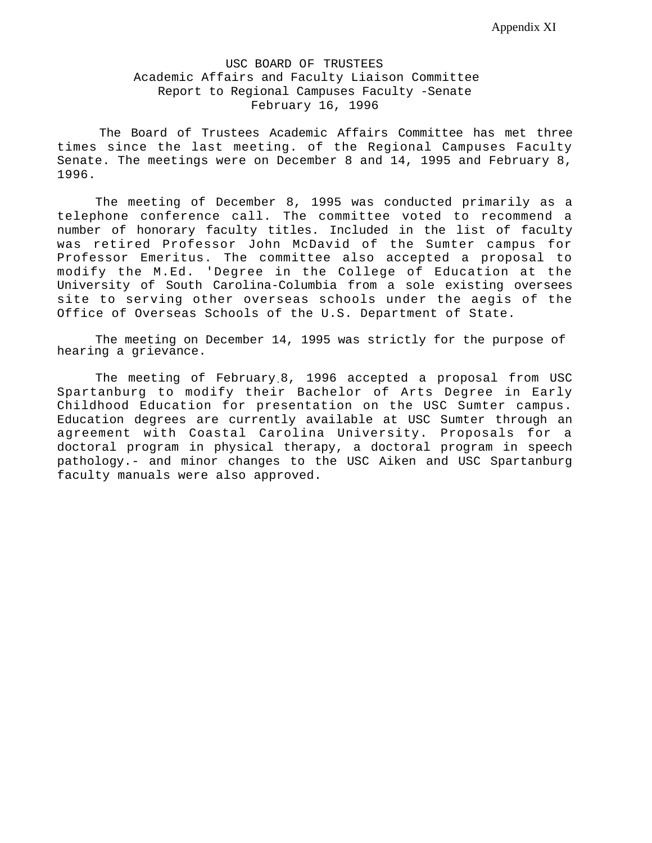#### USC BOARD OF TRUSTEES Academic Affairs and Faculty Liaison Committee Report to Regional Campuses Faculty -Senate February 16, 1996

The Board of Trustees Academic Affairs Committee has met three times since the last meeting. of the Regional Campuses Faculty Senate. The meetings were on December 8 and 14, 1995 and February 8, 1996.

The meeting of December 8, 1995 was conducted primarily as a telephone conference call. The committee voted to recommend a number of honorary faculty titles. Included in the list of faculty was retired Professor John McDavid of the Sumter campus for Professor Emeritus. The committee also accepted a proposal to modify the M.Ed. 'Degree in the College of Education at the University of South Carolina-Columbia from a sole existing oversees site to serving other overseas schools under the aegis of the Office of Overseas Schools of the U.S. Department of State.

The meeting on December 14, 1995 was strictly for the purpose of hearing a grievance.

The meeting of February.8, 1996 accepted a proposal from USC Spartanburg to modify their Bachelor of Arts Degree in Early Childhood Education for presentation on the USC Sumter campus. Education degrees are currently available at USC Sumter through an agreement with Coastal Carolina University. Proposals for a doctoral program in physical therapy, a doctoral program in speech pathology.- and minor changes to the USC Aiken and USC Spartanburg faculty manuals were also approved.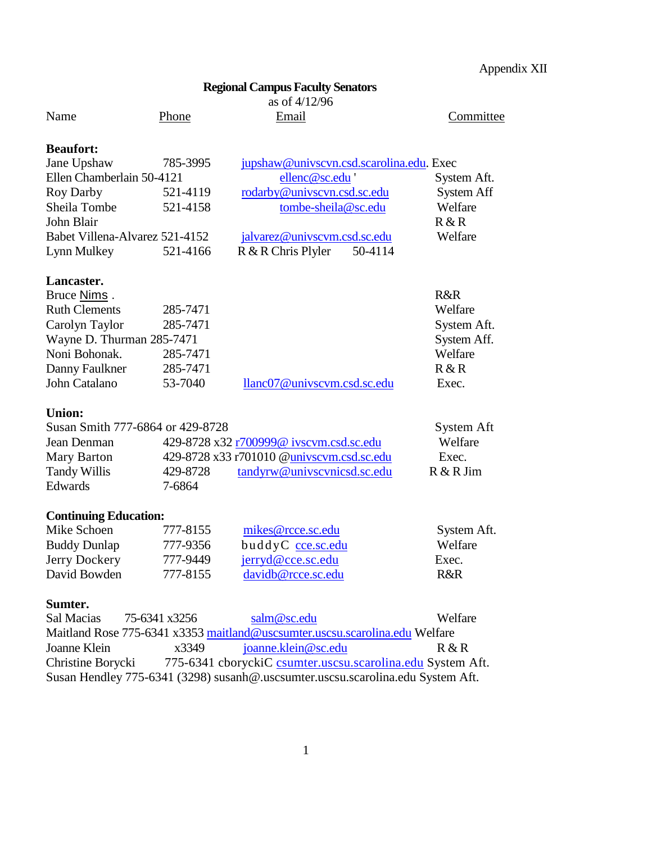# **Regional Campus Faculty Senators**

as of  $4/12/96$ <br>Email

Name Phone Email Email Committee

| í |  |
|---|--|
| ĉ |  |
| ŕ |  |
|   |  |
|   |  |

#### **Beaufort:**

| Jane Upshaw                    | 785-3995 | jupshaw@univscvn.csd.scarolina.edu. Exec |             |
|--------------------------------|----------|------------------------------------------|-------------|
| Ellen Chamberlain 50-4121      |          | ellenc@sc.edu '                          | System Aft. |
| Roy Darby                      | 521-4119 | rodarby@univscvn.csd.sc.edu              | System Aff  |
| Sheila Tombe                   | 521-4158 | tombe-sheila@sc.edu                      | Welfare     |
| John Blair                     |          |                                          | R & R       |
| Babet Villena-Alvarez 521-4152 |          | jalvarez@univscvm.csd.sc.edu             | Welfare     |
| Lynn Mulkey                    | 521-4166 | R & R Chris Plyler<br>50-4114            |             |

# **Lancaster.**

| Bruce Nims.               |          |                             | R&R         |
|---------------------------|----------|-----------------------------|-------------|
| <b>Ruth Clements</b>      | 285-7471 |                             | Welfare     |
| Carolyn Taylor            | 285-7471 |                             | System Aft. |
| Wayne D. Thurman 285-7471 |          |                             | System Aff. |
| Noni Bohonak.             | 285-7471 |                             | Welfare     |
| Danny Faulkner            | 285-7471 |                             | R & R       |
| John Catalano             | 53-7040  | llanc07@univscvm.csd.sc.edu | Exec.       |

#### **Union:**

| Susan Smith 777-6864 or 429-8728 |                                           |                             | System Aft |
|----------------------------------|-------------------------------------------|-----------------------------|------------|
| Jean Denman                      | 429-8728 x32 r700999@ ivscvm.csd.sc.edu   |                             | Welfare    |
| Mary Barton                      | 429-8728 x33 r701010 @univscvm.csd.sc.edu |                             | Exec.      |
| Tandy Willis                     | 429-8728                                  | tandyrw@univscynicsd.sc.edu | R & R Jim  |
| Edwards                          | 7-6864                                    |                             |            |

### **Continuing Education:**

| Mike Schoen         | 777-8155 | mikes@rcce.sc.edu     | System Aft. |
|---------------------|----------|-----------------------|-------------|
| <b>Buddy Dunlap</b> | 777-9356 | buddyC cce.sc.edu     | Welfare     |
| Jerry Dockery       | 777-9449 | $j$ erryd@cce.sc.edu  | Exec.       |
| David Bowden        | 777-8155 | $davidb@rcce$ .sc.edu | R&R         |

#### **Sumter.**

| Sal Macias                                                                      | 75-6341 x3256 | salm@sc.edu                                                                 | Welfare |
|---------------------------------------------------------------------------------|---------------|-----------------------------------------------------------------------------|---------|
|                                                                                 |               | Maitland Rose 775-6341 x3353 maitland@uscsumter.uscsu.scarolina.edu Welfare |         |
| Joanne Klein                                                                    | x3349         | joanne.klein@sc.edu                                                         | R & R   |
| Christine Borycki                                                               |               | 775-6341 cboryckiC csumter.uscsu.scarolina.edu System Aft.                  |         |
| Susan Hendley 775-6341 (3298) susanh@.uscsumter.uscsu.scarolina.edu System Aft. |               |                                                                             |         |